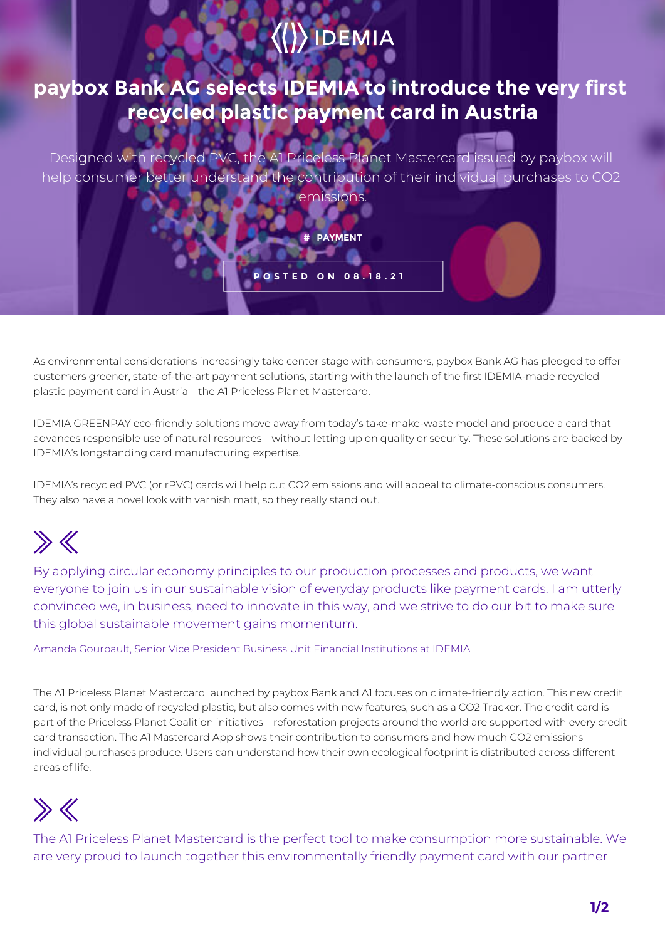# $\langle\langle\rangle\rangle$  IDEMIA

#### **paybox Bank AG selects IDEMIA to introduce the very first recycled plastic payment card in Austria**

Designed with recycled PVC, the A1 Priceless Planet Mastercard issued by paybox will help consumer better understand the contribution of their individual purchases to CO2 emissions.

**# PAYMENT**

**POSTED ON 08.18.21**

As environmental considerations increasingly take center stage with consumers, paybox Bank AG has pledged to offer customers greener, state-of-the-art payment solutions, starting with the launch of the first IDEMIA-made recycled plastic payment card in Austria—the A1 Priceless Planet Mastercard.

IDEMIA GREENPAY eco-friendly solutions move away from today's take-make-waste model and produce a card that advances responsible use of natural resources—without letting up on quality or security. These solutions are backed by IDEMIA's longstanding card manufacturing expertise.

IDEMIA's recycled PVC (or rPVC) cards will help cut CO2 emissions and will appeal to climate-conscious consumers. They also have a novel look with varnish matt, so they really stand out.

# $\gg K$

By applying circular economy principles to our production processes and products, we want everyone to join us in our sustainable vision of everyday products like payment cards. I am utterly convinced we, in business, need to innovate in this way, and we strive to do our bit to make sure this global sustainable movement gains momentum.

Amanda Gourbault, Senior Vice President Business Unit Financial Institutions at IDEMIA

The A1 Priceless Planet Mastercard launched by paybox Bank and A1 focuses on climate-friendly action. This new credit card, is not only made of recycled plastic, but also comes with new features, such as a CO2 Tracker. The credit card is part of the Priceless Planet Coalition initiatives—reforestation projects around the world are supported with every credit card transaction. The A1 Mastercard App shows their contribution to consumers and how much CO2 emissions individual purchases produce. Users can understand how their own ecological footprint is distributed across different areas of life.

# $\gg K$

The A1 Priceless Planet Mastercard is the perfect tool to make consumption more sustainable. We are very proud to launch together this environmentally friendly payment card with our partner